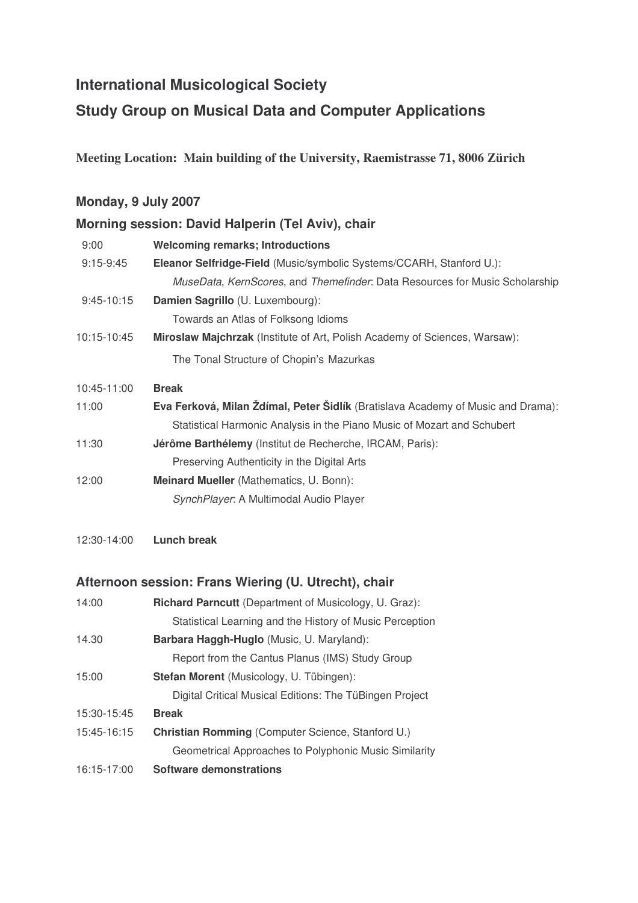# **International Musicological Society**

# **Study Group on Musical Data and Computer Applications**

**Meeting Location: Main building of the University, Raemistrasse 71, 8006 Zürich**

#### **Monday, 9 July 2007**

### **Morning session: David Halperin (Tel Aviv), chair**

| 9:00        | <b>Welcoming remarks; Introductions</b>                                          |
|-------------|----------------------------------------------------------------------------------|
| $9:15-9:45$ | Eleanor Selfridge-Field (Music/symbolic Systems/CCARH, Stanford U.):             |
|             | MuseData, KernScores, and Themefinder. Data Resources for Music Scholarship      |
| 9:45-10:15  | Damien Sagrillo (U. Luxembourg):                                                 |
|             | Towards an Atlas of Folksong Idioms                                              |
| 10:15-10:45 | Miroslaw Majchrzak (Institute of Art, Polish Academy of Sciences, Warsaw):       |
|             | The Tonal Structure of Chopin's Mazurkas                                         |
| 10:45-11:00 | <b>Break</b>                                                                     |
| 11:00       | Eva Ferková, Milan Ždímal, Peter Šidlík (Bratislava Academy of Music and Drama): |
|             | Statistical Harmonic Analysis in the Piano Music of Mozart and Schubert          |
| 11:30       | <b>Jérôme Barthélemy</b> (Institut de Recherche, IRCAM, Paris):                  |
|             | Preserving Authenticity in the Digital Arts                                      |
| 12:00       | Meinard Mueller (Mathematics, U. Bonn):                                          |
|             | SynchPlayer: A Multimodal Audio Player                                           |

12:30-14:00 **Lunch break**

#### **Afternoon session: Frans Wiering (U. Utrecht), chair**

| 14:00       | <b>Richard Parncutt</b> (Department of Musicology, U. Graz): |
|-------------|--------------------------------------------------------------|
|             | Statistical Learning and the History of Music Perception     |
| 14.30       | <b>Barbara Haggh-Huglo</b> (Music, U. Maryland):             |
|             | Report from the Cantus Planus (IMS) Study Group              |
| 15:00       | Stefan Morent (Musicology, U. Tübingen):                     |
|             | Digital Critical Musical Editions: The TüBingen Project      |
| 15:30-15:45 | <b>Break</b>                                                 |
| 15:45-16:15 | <b>Christian Romming (Computer Science, Stanford U.)</b>     |
|             | Geometrical Approaches to Polyphonic Music Similarity        |
| 16:15-17:00 | <b>Software demonstrations</b>                               |